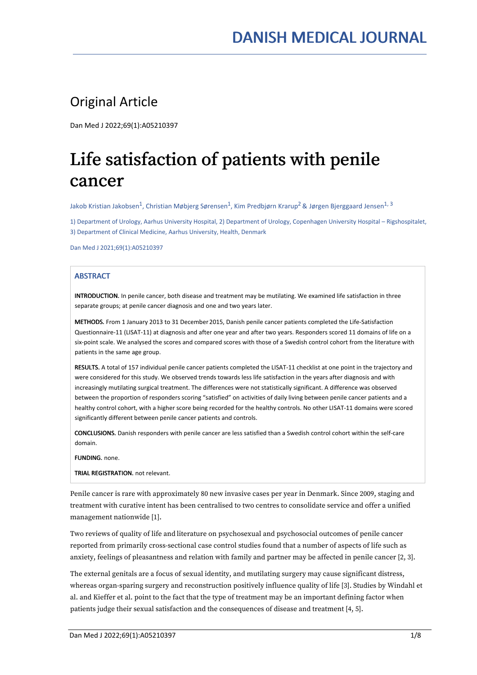# Original Article

Dan Med J 2022;69(1):A05210397

# Life satisfaction of patients with penile cancer

Jakob Kristian Jakobsen<sup>1</sup>, Christian Møbjerg Sørensen<sup>1</sup>, Kim Predbjørn Krarup<sup>2</sup> & Jørgen Bjerggaard Jensen<sup>1, 3</sup>

1) Department of Urology, Aarhus University Hospital, 2) Department of Urology, Copenhagen University Hospital – Rigshospitalet, 3) Department of Clinical Medicine, Aarhus University, Health, Denmark

Dan Med J 2021;69(1):A05210397

# **ABSTRACT**

INTRODUCTION. In penile cancer, both disease and treatment may be mutilating. We examined life satisfaction in three separate groups; at penile cancer diagnosis and one and two years later.

METHODS. From 1 January 2013 to 31 December 2015, Danish penile cancer patients completed the Life-Satisfaction Questionnaire-11 (LISAT-11) at diagnosis and after one year and after two years. Responders scored 11 domains of life on a six-point scale. We analysed the scores and compared scores with those of a Swedish control cohort from the literature with patients in the same age group.

RESULTS. A total of 157 individual penile cancer patients completed the LISAT-11 checklist at one point in the trajectory and were considered for this study. We observed trends towards less life satisfaction in the years after diagnosis and with increasingly mutilating surgical treatment. The differences were not statistically significant. A difference was observed between the proportion of responders scoring "satisfied" on activities of daily living between penile cancer patients and a healthy control cohort, with a higher score being recorded for the healthy controls. No other LISAT-11 domains were scored significantly different between penile cancer patients and controls.

CONCLUSIONS. Danish responders with penile cancer are less satisfied than a Swedish control cohort within the self-care domain.

FUNDING. none.

TRIAL REGISTRATION. not relevant.

Penile cancer is rare with approximately 80 new invasive cases per year in Denmark. Since 2009, staging and treatment with curative intent has been centralised to two centres to consolidate service and offer a unified management nationwide [1].

Two reviews of quality of life and literature on psychosexual and psychosocial outcomes of penile cancer reported from primarily cross-sectional case control studies found that a number of aspects of life such as anxiety, feelings of pleasantness and relation with family and partner may be affected in penile cancer [2, 3].

The external genitals are a focus of sexual identity, and mutilating surgery may cause significant distress, whereas organ-sparing surgery and reconstruction positively influence quality of life [3]. Studies by Windahl et al. and Kieffer et al. point to the fact that the type of treatment may be an important defining factor when patients judge their sexual satisfaction and the consequences of disease and treatment [4, 5].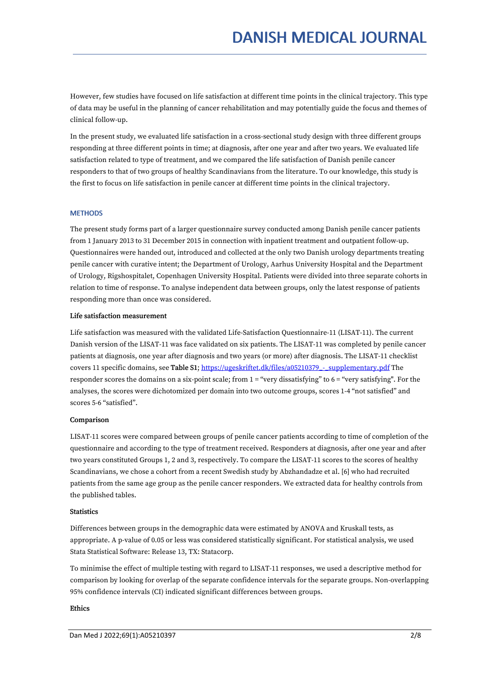However, few studies have focused on life satisfaction at different time points in the clinical trajectory. This type of data may be useful in the planning of cancer rehabilitation and may potentially guide the focus and themes of clinical follow-up.

In the present study, we evaluated life satisfaction in a cross-sectional study design with three different groups responding at three different points in time; at diagnosis, after one year and after two years. We evaluated life satisfaction related to type of treatment, and we compared the life satisfaction of Danish penile cancer responders to that of two groups of healthy Scandinavians from the literature. To our knowledge, this study is the first to focus on life satisfaction in penile cancer at different time points in the clinical trajectory.

# **METHODS**

The present study forms part of a larger questionnaire survey conducted among Danish penile cancer patients from 1 January 2013 to 31 December 2015 in connection with inpatient treatment and outpatient follow-up. Questionnaires were handed out, introduced and collected at the only two Danish urology departments treating penile cancer with curative intent; the Department of Urology, Aarhus University Hospital and the Department of Urology, Rigshospitalet, Copenhagen University Hospital. Patients were divided into three separate cohorts in relation to time of response. To analyse independent data between groups, only the latest response of patients responding more than once was considered.

# Life satisfaction measurement

Life satisfaction was measured with the validated Life-Satisfaction Questionnaire-11 (LISAT-11). The current Danish version of the LISAT-11 was face validated on six patients. The LISAT-11 was completed by penile cancer patients at diagnosis, one year after diagnosis and two years (or more) after diagnosis. The LISAT-11 checklist covers 11 specific domains, see Table S1; [https://ugeskriftet.dk/files/a05210379\\_-\\_supplementary.pdf](https://ugeskriftet.dk/files/a05210379_-_supplementary.pdf) The responder scores the domains on a six-point scale; from 1 = "very dissatisfying" to 6 = "very satisfying". For the analyses, the scores were dichotomized per domain into two outcome groups, scores 1-4 "not satisfied" and scores 5-6 "satisfied".

# Comparison

LISAT-11 scores were compared between groups of penile cancer patients according to time of completion of the questionnaire and according to the type of treatment received. Responders at diagnosis, after one year and after two years constituted Groups 1, 2 and 3, respectively. To compare the LISAT-11 scores to the scores of healthy Scandinavians, we chose a cohort from a recent Swedish study by Abzhandadze et al. [6] who had recruited patients from the same age group as the penile cancer responders. We extracted data for healthy controls from the published tables.

# **Statistics**

Differences between groups in the demographic data were estimated by ANOVA and Kruskall tests, as appropriate. A p-value of 0.05 or less was considered statistically significant. For statistical analysis, we used Stata Statistical Software: Release 13, TX: Statacorp.

To minimise the effect of multiple testing with regard to LISAT-11 responses, we used a descriptive method for comparison by looking for overlap of the separate confidence intervals for the separate groups. Non-overlapping 95% confidence intervals (CI) indicated significant differences between groups.

# Ethics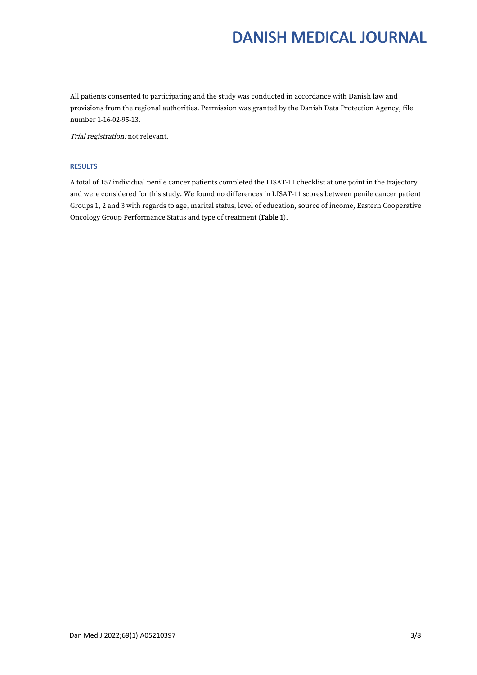All patients consented to participating and the study was conducted in accordance with Danish law and provisions from the regional authorities. Permission was granted by the Danish Data Protection Agency, file number 1-16-02-95-13.

Trial registration: not relevant.

# RESULTS

A total of 157 individual penile cancer patients completed the LISAT-11 checklist at one point in the trajectory and were considered for this study. We found no differences in LISAT-11 scores between penile cancer patient Groups 1, 2 and 3 with regards to age, marital status, level of education, source of income, Eastern Cooperative Oncology Group Performance Status and type of treatment (Table 1).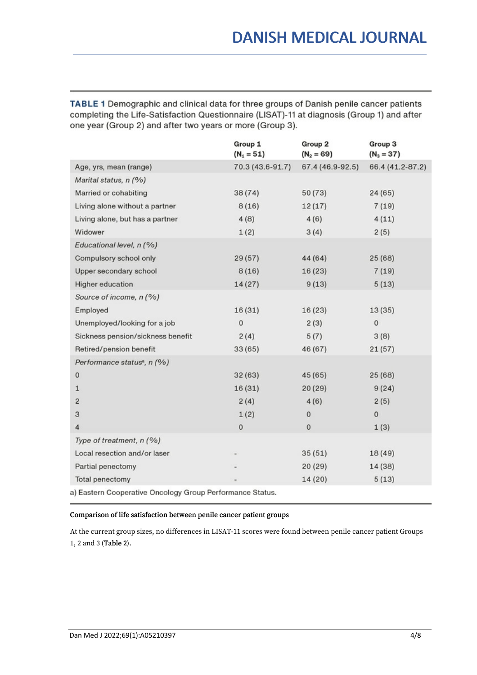TABLE 1 Demographic and clinical data for three groups of Danish penile cancer patients completing the Life-Satisfaction Questionnaire (LISAT)-11 at diagnosis (Group 1) and after one year (Group 2) and after two years or more (Group 3).

|                                                           | Group 1<br>$(N_1 = 51)$ | Group <sub>2</sub><br>$(N_2 = 69)$ | Group 3<br>$(N_3 = 37)$ |  |  |  |
|-----------------------------------------------------------|-------------------------|------------------------------------|-------------------------|--|--|--|
| Age, yrs, mean (range)                                    | 70.3 (43.6-91.7)        | 67.4 (46.9-92.5)                   | 66.4 (41.2-87.2)        |  |  |  |
| Marital status, n (%)                                     |                         |                                    |                         |  |  |  |
| Married or cohabiting                                     | 38(74)                  | 50(73)                             | 24(65)                  |  |  |  |
| Living alone without a partner                            | 8(16)                   | 12(17)                             | 7(19)                   |  |  |  |
| Living alone, but has a partner                           | 4(8)                    | 4(6)                               | 4(11)                   |  |  |  |
| Widower                                                   | 1(2)                    | 3(4)                               | 2(5)                    |  |  |  |
| Educational level, n (%)                                  |                         |                                    |                         |  |  |  |
| Compulsory school only                                    | 29(57)                  | 44 (64)                            | 25(68)                  |  |  |  |
| Upper secondary school                                    | 8(16)                   | 16(23)                             | 7(19)                   |  |  |  |
| Higher education                                          | 14(27)                  | 9(13)                              | 5(13)                   |  |  |  |
| Source of income, n (%)                                   |                         |                                    |                         |  |  |  |
| Employed                                                  | 16(31)                  | 16(23)                             | 13(35)                  |  |  |  |
| Unemployed/looking for a job                              | $\mathbf 0$             | 2(3)                               | $\mathbf 0$             |  |  |  |
| Sickness pension/sickness benefit                         | 2(4)                    | 5(7)                               | 3(8)                    |  |  |  |
| Retired/pension benefit                                   | 33(65)                  | 46 (67)                            | 21(57)                  |  |  |  |
| Performance status <sup>a</sup> , n (%)                   |                         |                                    |                         |  |  |  |
| $\mathbf 0$                                               | 32(63)                  | 45 (65)                            | 25(68)                  |  |  |  |
| $\mathbf{1}$                                              | 16 (31)                 | 20(29)                             | 9(24)                   |  |  |  |
| $\overline{2}$                                            | 2(4)                    | 4(6)                               | 2(5)                    |  |  |  |
| 3                                                         | 1(2)                    | $\bf{0}$                           | $\mathbf 0$             |  |  |  |
| 4                                                         | $\mathbf 0$             | $\bf 0$                            | 1(3)                    |  |  |  |
| Type of treatment, n (%)                                  |                         |                                    |                         |  |  |  |
| Local resection and/or laser                              |                         | 35(51)                             | 18(49)                  |  |  |  |
| Partial penectomy                                         |                         | 20(29)                             | 14 (38)                 |  |  |  |
| Total penectomy                                           |                         | 14(20)                             | 5(13)                   |  |  |  |
| a) Eastern Cooperative Oncology Group Performance Status. |                         |                                    |                         |  |  |  |

# Comparison of life satisfaction between penile cancer patient groups

At the current group sizes, no differences in LISAT-11 scores were found between penile cancer patient Groups 1, 2 and 3 (Table 2).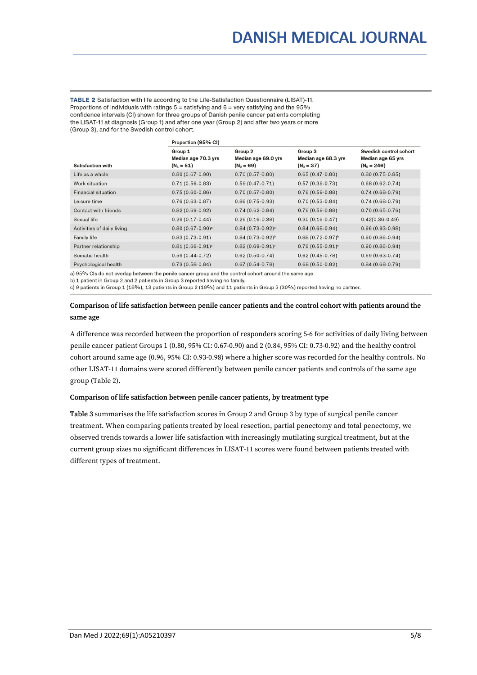TABLE 2 Satisfaction with life according to the Life-Satisfaction Questionnaire (LISAT)-11. Proportions of individuals with ratings  $5 =$  satisfying and  $6 =$  very satisfying and the 95% confidence intervals (CI) shown for three groups of Danish penile cancer patients completing the LISAT-11 at diagnosis (Group 1) and after one year (Group 2) and after two years or more (Group 3), and for the Swedish control cohort.

|                            | Proportion (95% CI)                            |                                                |                                                |                                                              |  |  |
|----------------------------|------------------------------------------------|------------------------------------------------|------------------------------------------------|--------------------------------------------------------------|--|--|
| <b>Satisfaction with</b>   | Group 1<br>Median age 70.3 yrs<br>$(N_1 = 51)$ | Group 2<br>Median age 69.0 yrs<br>$(N_2 = 69)$ | Group 3<br>Median age 68.3 yrs<br>$(N_3 = 37)$ | Swedish control cohort<br>Median age 65 yrs<br>$(N_s = 246)$ |  |  |
| Life as a whole            | $0.80(0.67-0.90)$                              | $0.70(0.57-0.80)$                              | $0.65(0.47-0.80)$                              | $0.80(0.75-0.85)$                                            |  |  |
| Work situation             | $0.71(0.56-0.83)$                              | $0.59(0.47-0.71)$                              | $0.57(0.39-0.73)$                              | $0.68(0.62 - 0.74)$                                          |  |  |
| <b>Financial situation</b> | $0.75(0.60-0.86)$                              | $0.70(0.57-0.80)$                              | $0.76(0.59-0.88)$                              | $0.74(0.68-0.79)$                                            |  |  |
| Leisure time               | $0.76(0.63-0.87)$                              | $0.86(0.75-0.93)$                              | $0.70(0.53-0.84)$                              | $0.74(0.68-0.79)$                                            |  |  |
| Contact with friends       | $0.82(0.69-0.92)$                              | $0.74(0.62-0.84)$                              | $0.76(0.59-0.88)$                              | $0.70(0.65-0.76)$                                            |  |  |
| Sexual life                | $0.29(0.17-0.44)$                              | $0.26(0.16-0.38)$                              | $0.30(0.16-0.47)$                              | $0.42(0.36-0.49)$                                            |  |  |
| Activities of daily living | $0.80(0.67-0.90)$ <sup>a</sup>                 | $0.84(0.73-0.92)^a$                            | $0.84(0.68-0.94)$                              | $0.96(0.93-0.98)$                                            |  |  |
| <b>Family life</b>         | $0.83(0.73-0.91)$                              | $0.84(0.73-0.92)^{b}$                          | $0.88(0.72 - 0.97)^b$                          | $0.90(0.86-0.94)$                                            |  |  |
| Partner relationship       | $0.81(0.66-0.91)^c$                            | $0.82(0.69-0.91)$ °                            | $0.76$ (0.55-0.91) <sup>c</sup>                | $0.90(0.86-0.94)$                                            |  |  |
| Somatic health             | $0.59(0.44-0.72)$                              | $0.62(0.50-0.74)$                              | $0.62(0.45-0.78)$                              | $0.69(0.63-0.74)$                                            |  |  |
| Psychological health       | $0.73(0.58-0.84)$                              | $0.67(0.54-0.78)$                              | $0.68(0.50-0.82)$                              | $0.84(0.68-0.79)$                                            |  |  |
|                            |                                                |                                                |                                                |                                                              |  |  |

a) 95% Cls do not overlap between the penile cancer group and the control cohort around the same age.

b) 1 patient in Group 2 and 2 patients in Group 3 reported having no family.

c) 9 patients in Group 1 (18%), 13 patients in Group 2 (19%) and 11 patients in Group 3 (30%) reported having no partner.

# Comparison oflife satisfaction between penile cancer patients and the control cohort with patients around the same age

A difference was recorded between the proportion ofresponders scoring 5-6 for activities of daily living between penile cancer patient Groups 1 (0.80, 95% CI: 0.67-0.90) and 2 (0.84, 95% CI: 0.73-0.92) and the healthy control cohort around same age (0.96, 95% CI: 0.93-0.98) where a higher score was recorded for the healthy controls. No other LISAT-11 domains were scored differently between penile cancer patients and controls of the same age group (Table 2).

# Comparison of life satisfaction between penile cancer patients, by treatment type

Table 3 summarises the life satisfaction scores in Group 2 and Group 3 by type of surgical penile cancer treatment. When comparing patients treated by local resection, partial penectomy and total penectomy, we observed trends towards a lower life satisfaction with increasingly mutilating surgical treatment, but at the current group sizes no significant differences in LISAT-11 scores were found between patients treated with different types of treatment.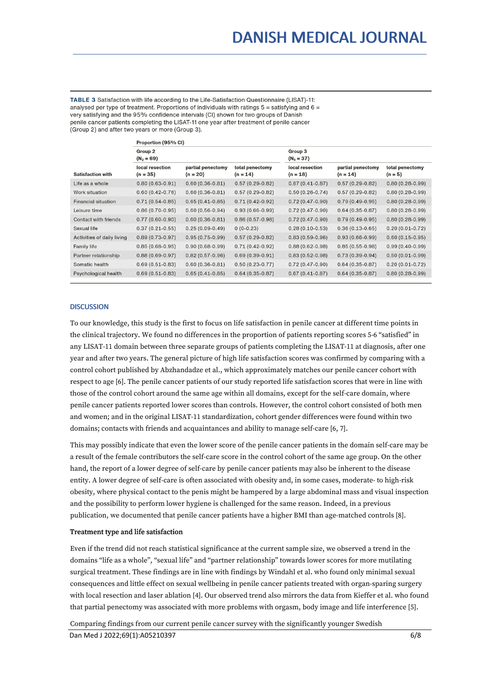TABLE 3 Satisfaction with life according to the Life-Satisfaction Questionnaire (LISAT)-11: analysed per type of treatment. Proportions of individuals with ratings  $5 =$  satisfying and  $6 =$ very satisfying and the 95% confidence intervals (CI) shown for two groups of Danish penile cancer patients completing the LISAT-11 one year after treatment of penile cancer (Group 2) and after two years or more (Group 3).

|                            | Proportion (95% CI)           |                                 |                               |                               |                                 |                              |  |
|----------------------------|-------------------------------|---------------------------------|-------------------------------|-------------------------------|---------------------------------|------------------------------|--|
|                            | Group 2<br>$(N_2 = 69)$       |                                 |                               | Group 3<br>$(N_3 = 37)$       |                                 |                              |  |
| <b>Satisfaction with</b>   | local resection<br>$(n = 35)$ | partial penectomy<br>$(n = 20)$ | total penectomy<br>$(n = 14)$ | local resection<br>$(n = 18)$ | partial penectomy<br>$(n = 14)$ | total penectomy<br>$(n = 5)$ |  |
| Life as a whole            | $0.80(0.63-0.91)$             | $0.60(0.36-0.81)$               | $0.57(0.29-0.82)$             | $0.67(0.41-0.87)$             | $0.57(0.29-0.82)$               | $0.80(0.28-0.99)$            |  |
| Work situation             | $0.60(0.42-0.76)$             | $0.60(0.36-0.81)$               | $0.57(0.29-0.82)$             | $0.50(0.26-0.74)$             | $0.57(0.29-0.82)$               | $0.80(0.28-0.99)$            |  |
| <b>Financial situation</b> | $0.71(0.54-0.85)$             | $0.65(0.41-0.85)$               | $0.71(0.42-0.92)$             | $0.72(0.47-0.90)$             | $0.79(0.49-0.95)$               | $0.80(0.28-0.99)$            |  |
| Leisure time               | $0.86(0.70-0.95)$             | $0.60(0.56-0.94)$               | $0.93(0.66-0.99)$             | $0.72(0.47-0.90)$             | $0.64(0.35-0.87)$               | $0.80(0.28-0.99)$            |  |
| Contact with friends       | $0.77(0.60-0.90)$             | $0.60(0.36-0.81)$               | $0.86(0.57-0.98)$             | $0.72(0.47-0.90)$             | $0.79(0.49-0.95)$               | $0.80(0.28-0.99)$            |  |
| Sexual life                | $0.37(0.21-0.55)$             | $0.25(0.09-0.49)$               | $0(0-0.23)$                   | $0.28(0.10-0.53)$             | $0.36(0.13-0.65)$               | $0.20(0.01-0.72)$            |  |
| Activities of daily living | $0.89(0.73-0.97)$             | $0.95(0.75-0.99)$               | $0.57(0.29-0.82)$             | $0.83(0.59-0.96)$             | $0.93(0.66-0.99)$               | $0.60(0.15-0.95)$            |  |
| <b>Family life</b>         | $0.85(0.68-0.95)$             | $0.90(0.68-0.99)$               | $0.71(0.42-0.92)$             | $0.88(0.62 - 0.98)$           | $0.85(0.55-0.98)$               | $0.99(0.40-0.99)$            |  |
| Partner relationship       | $0.88(0.69-0.97)$             | $0.82(0.57-0.96)$               | $0.69(0.39-0.91)$             | $0.83(0.52-0.98)$             | $0.73(0.39-0.94)$               | $0.50(0.01-0.99)$            |  |
| Somatic health             | $0.69(0.51-0.83)$             | $0.60(0.36 - 0.81)$             | $0.50(0.23-0.77)$             | $0.72(0.47-0.90)$             | $0.64(0.35-0.87)$               | $0.20(0.01-0.72)$            |  |
| Psychological health       | $0.69(0.51-0.83)$             | $0.65(0.41-0.85)$               | $0.64(0.35-0.87)$             | $0.67(0.41-0.87)$             | $0.64(0.35-0.87)$               | $0.80(0.28-0.99)$            |  |

# **DISCUSSION**

To our knowledge, this study is the first to focus on life satisfaction in penile cancer at different time points in the clinical trajectory. We found no differences in the proportion of patients reporting scores 5-6 "satisfied" in any LISAT-11 domain between three separate groups of patients completing the LISAT-11 at diagnosis, after one year and after two years. The general picture of high life satisfaction scores was confirmed by comparing with a control cohort published by Abzhandadze et al., which approximately matches our penile cancer cohort with respect to age [6]. The penile cancer patients of our study reported life satisfaction scores that were in line with those of the control cohort around the same age within all domains, except for the self-care domain, where penile cancer patients reported lower scores than controls. However, the control cohort consisted of both men and women; and in the original LISAT-11 standardization, cohort gender differences were found within two domains; contacts with friends and acquaintances and ability to manage self-care [6, 7].

This may possibly indicate that even the lower score of the penile cancer patients in the domain self-care may be a result of the female contributors the self-care score in the control cohort of the same age group. On the other hand, the report of a lower degree of self-care by penile cancer patients may also be inherent to the disease entity. A lower degree of self-care is often associated with obesity and, in some cases, moderate- to high-risk obesity, where physical contact to the penis might be hampered by a large abdominal mass and visual inspection and the possibility to perform lower hygiene is challenged for the same reason. Indeed, in a previous publication, we documented that penile cancer patients have a higher BMI than age-matched controls [8].

# Treatment type and life satisfaction

Even if the trend did not reach statistical significance at the current sample size, we observed a trend in the domains "life as a whole", "sexual life" and "partner relationship" towards lower scores for more mutilating surgical treatment. These findings are in line with findings by Windahl et al. who found only minimal sexual consequences and little effect on sexual wellbeing in penile cancer patients treated with organ-sparing surgery with local resection and laser ablation [4]. Our observed trend also mirrors the data from Kieffer et al. who found that partial penectomy was associated with more problems with orgasm, body image and life interference [5].

Comparing findings from our current penile cancer survey with the significantly younger Swedish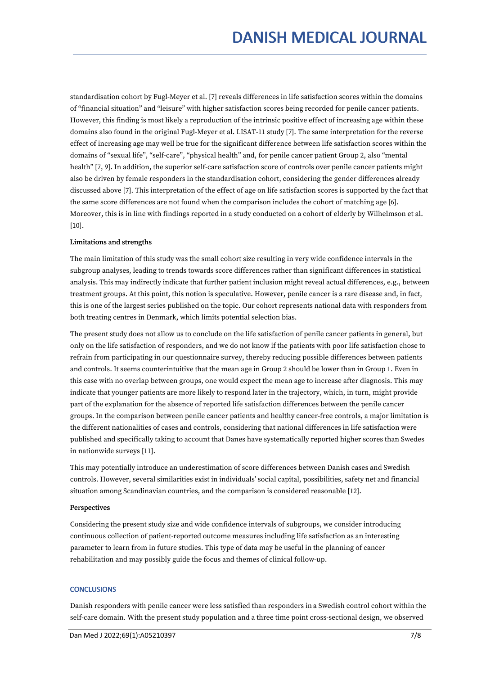standardisation cohort by Fugl-Meyer et al. [7] reveals differences in life satisfaction scores within the domains of "financial situation" and "leisure" with higher satisfaction scores being recorded for penile cancer patients. However, this finding is most likely a reproduction of the intrinsic positive effect of increasing age within these domains also found in the original Fugl-Meyer et al. LISAT-11 study [7]. The same interpretation for the reverse effect of increasing age may well be true for the significant difference between life satisfaction scores within the domains of "sexual life", "self-care", "physical health" and, for penile cancer patient Group 2, also "mental health" [7, 9]. In addition, the superior self-care satisfaction score of controls over penile cancer patients might also be driven by female responders in the standardisation cohort, considering the gender differences already discussed above [7]. This interpretation of the effect of age on life satisfaction scores is supported by the fact that the same score differences are not found when the comparison includes the cohort of matching age [6]. Moreover, this is in line with findings reported in a study conducted on a cohort of elderly by Wilhelmson et al. [10].

# Limitations and strengths

The main limitation of this study was the small cohort size resulting in very wide confidence intervals in the subgroup analyses, leading to trends towards score differences rather than significant differences in statistical analysis. This may indirectly indicate that further patient inclusion might reveal actual differences, e.g., between treatment groups. At this point, this notion is speculative. However, penile cancer is a rare disease and, in fact, this is one of the largest series published on the topic. Our cohort represents national data with responders from both treating centres in Denmark, which limits potential selection bias.

The present study does not allow us to conclude on the life satisfaction of penile cancer patients in general, but only on the life satisfaction of responders, and we do not know if the patients with poor life satisfaction chose to refrain from participating in our questionnaire survey, thereby reducing possible differences between patients and controls. It seems counterintuitive that the mean age in Group 2 should be lower than in Group 1. Even in this case with no overlap between groups, one would expect the mean age to increase after diagnosis. This may indicate that younger patients are more likely to respond later in the trajectory, which, in turn, might provide part of the explanation for the absence of reported life satisfaction differences between the penile cancer groups. In the comparison between penile cancer patients and healthy cancer-free controls, a major limitation is the different nationalities of cases and controls, considering that national differences in life satisfaction were published and specifically taking to account that Danes have systematically reported higher scores than Swedes in nationwide surveys [11].

This may potentially introduce an underestimation of score differences between Danish cases and Swedish controls. However, several similarities exist in individuals' social capital, possibilities, safety net and financial situation among Scandinavian countries, and the comparison is considered reasonable [12].

# Perspectives

Considering the present study size and wide confidence intervals of subgroups, we consider introducing continuous collection of patient-reported outcome measures including life satisfaction as an interesting parameter to learn from in future studies. This type of data may be useful in the planning of cancer rehabilitation and may possibly guide the focus and themes of clinical follow-up.

# **CONCLUSIONS**

Danish responders with penile cancer were less satisfied than responders in a Swedish control cohort within the self-care domain. With the present study population and a three time point cross-sectional design, we observed